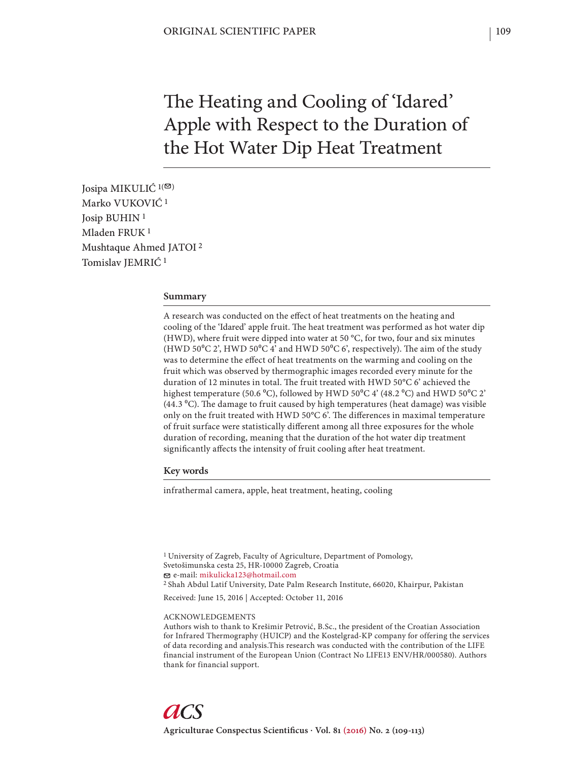# The Heating and Cooling of 'Idared' Apple with Respect to the Duration of the Hot Water Dip Heat Treatment

Josipa MIKULIĆ  $1(\mathfrak{D})$ Marko VUKOVIĆ 1 Josip BUHIN 1 Mladen FRUK 1 Mushtaque Ahmed JATOI 2 Tomislav JEMRIĆ 1

## **Summary**

A research was conducted on the effect of heat treatments on the heating and cooling of the 'Idared' apple fruit. The heat treatment was performed as hot water dip (HWD), where fruit were dipped into water at 50 °C, for two, four and six minutes (HWD 50°C 2', HWD 50°C 4' and HWD 50°C 6', respectively). The aim of the study was to determine the effect of heat treatments on the warming and cooling on the fruit which was observed by thermographic images recorded every minute for the duration of 12 minutes in total. The fruit treated with HWD 50°C 6' achieved the highest temperature (50.6 °C), followed by HWD 50°C 4' (48.2 °C) and HWD 50°C 2' (44.3  $^{\circ}$ C). The damage to fruit caused by high temperatures (heat damage) was visible only on the fruit treated with HWD 50 $\degree$ C 6'. The differences in maximal temperature of fruit surface were statistically different among all three exposures for the whole duration of recording, meaning that the duration of the hot water dip treatment significantly affects the intensity of fruit cooling after heat treatment.

#### **Key words**

infrathermal camera, apple, heat treatment, heating, cooling

1 University of Zagreb, Faculty of Agriculture, Department of Pomology, Svetošimunska cesta 25, HR-10000 Zagreb, Croatia e-mail: mikulicka123@hotmail.com 2 Shah Abdul Latif University, Date Palm Research Institute, 66020, Khairpur, Pakistan Received: June 15, 2016 | Accepted: October 11, 2016

#### ACKNOWLEDGEMENTS

Authors wish to thank to Krešimir Petrović, B.Sc., the president of the Croatian Association for Infrared Thermography (HUICP) and the Kostelgrad-KP company for offering the services of data recording and analysis.This research was conducted with the contribution of the LIFE financial instrument of the European Union (Contract No LIFE13 ENV/HR/000580). Authors thank for financial support.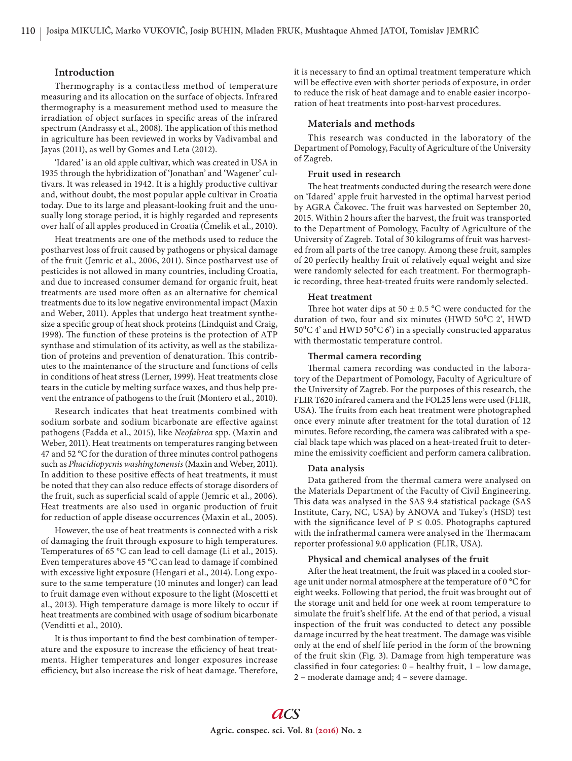### **Introduction**

Thermography is a contactless method of temperature measuring and its allocation on the surface of objects. Infrared thermography is a measurement method used to measure the irradiation of object surfaces in specific areas of the infrared spectrum (Andrassy et al., 2008). The application of this method in agriculture has been reviewed in works by Vadivambal and Jayas (2011), as well by Gomes and Leta (2012).

'Idared' is an old apple cultivar, which was created in USA in 1935 through the hybridization of 'Jonathan' and 'Wagener' cultivars. It was released in 1942. It is a highly productive cultivar and, without doubt, the most popular apple cultivar in Croatia today. Due to its large and pleasant-looking fruit and the unusually long storage period, it is highly regarded and represents over half of all apples produced in Croatia (Čmelik et al., 2010).

Heat treatments are one of the methods used to reduce the postharvest loss of fruit caused by pathogens or physical damage of the fruit (Jemric et al., 2006, 2011). Since postharvest use of pesticides is not allowed in many countries, including Croatia, and due to increased consumer demand for organic fruit, heat treatments are used more often as an alternative for chemical treatments due to its low negative environmental impact (Maxin and Weber, 2011). Apples that undergo heat treatment synthesize a specific group of heat shock proteins (Lindquist and Craig, 1998). The function of these proteins is the protection of ATP synthase and stimulation of its activity, as well as the stabilization of proteins and prevention of denaturation. This contributes to the maintenance of the structure and functions of cells in conditions of heat stress (Lerner, 1999). Heat treatments close tears in the cuticle by melting surface waxes, and thus help prevent the entrance of pathogens to the fruit (Montero et al., 2010).

Research indicates that heat treatments combined with sodium sorbate and sodium bicarbonate are effective against pathogens (Fadda et al., 2015), like *Neofabrea* spp. (Maxin and Weber, 2011). Heat treatments on temperatures ranging between 47 and 52 °C for the duration of three minutes control pathogens such as *Phacidiopycnis washingtonensis* (Maxin and Weber, 2011). In addition to these positive effects of heat treatments, it must be noted that they can also reduce effects of storage disorders of the fruit, such as superficial scald of apple (Jemric et al., 2006). Heat treatments are also used in organic production of fruit for reduction of apple disease occurrences (Maxin et al., 2005).

However, the use of heat treatments is connected with a risk of damaging the fruit through exposure to high temperatures. Temperatures of 65 °C can lead to cell damage (Li et al., 2015). Even temperatures above 45 °C can lead to damage if combined with excessive light exposure (Hengari et al., 2014). Long exposure to the same temperature (10 minutes and longer) can lead to fruit damage even without exposure to the light (Moscetti et al., 2013). High temperature damage is more likely to occur if heat treatments are combined with usage of sodium bicarbonate (Venditti et al., 2010).

It is thus important to find the best combination of temperature and the exposure to increase the efficiency of heat treatments. Higher temperatures and longer exposures increase efficiency, but also increase the risk of heat damage. Therefore, it is necessary to find an optimal treatment temperature which will be effective even with shorter periods of exposure, in order to reduce the risk of heat damage and to enable easier incorporation of heat treatments into post-harvest procedures.

## **Materials and methods**

This research was conducted in the laboratory of the Department of Pomology, Faculty of Agriculture of the University of Zagreb.

#### **Fruit used in research**

The heat treatments conducted during the research were done on 'Idared' apple fruit harvested in the optimal harvest period by AGRA Čakovec. The fruit was harvested on September 20, 2015. Within 2 hours after the harvest, the fruit was transported to the Department of Pomology, Faculty of Agriculture of the University of Zagreb. Total of 30 kilograms of fruit was harvested from all parts of the tree canopy. Among these fruit, samples of 20 perfectly healthy fruit of relatively equal weight and size were randomly selected for each treatment. For thermographic recording, three heat-treated fruits were randomly selected.

#### **Heat treatment**

Three hot water dips at  $50 \pm 0.5$  °C were conducted for the duration of two, four and six minutes (HWD  $50^{\circ}$ C 2', HWD 50 $\rm ^{0}C$  4' and HWD 50 $\rm ^{0}C$  6') in a specially constructed apparatus with thermostatic temperature control.

#### **Th ermal camera recording**

Thermal camera recording was conducted in the laboratory of the Department of Pomology, Faculty of Agriculture of the University of Zagreb. For the purposes of this research, the FLIR T620 infrared camera and the FOL25 lens were used (FLIR, USA). The fruits from each heat treatment were photographed once every minute after treatment for the total duration of 12 minutes. Before recording, the camera was calibrated with a special black tape which was placed on a heat-treated fruit to determine the emissivity coefficient and perform camera calibration.

#### **Data analysis**

Data gathered from the thermal camera were analysed on the Materials Department of the Faculty of Civil Engineering. This data was analysed in the SAS 9.4 statistical package (SAS Institute, Cary, NC, USA) by ANOVA and Tukey's (HSD) test with the significance level of  $P \le 0.05$ . Photographs captured with the infrathermal camera were analysed in the Thermacam reporter professional 9.0 application (FLIR, USA).

## **Physical and chemical analyses of the fruit**

After the heat treatment, the fruit was placed in a cooled storage unit under normal atmosphere at the temperature of 0 °C for eight weeks. Following that period, the fruit was brought out of the storage unit and held for one week at room temperature to simulate the fruit's shelf life. At the end of that period, a visual inspection of the fruit was conducted to detect any possible damage incurred by the heat treatment. The damage was visible only at the end of shelf life period in the form of the browning of the fruit skin (Fig. 3). Damage from high temperature was classified in four categories:  $0$  – healthy fruit,  $1$  – low damage, 2 – moderate damage and; 4 – severe damage.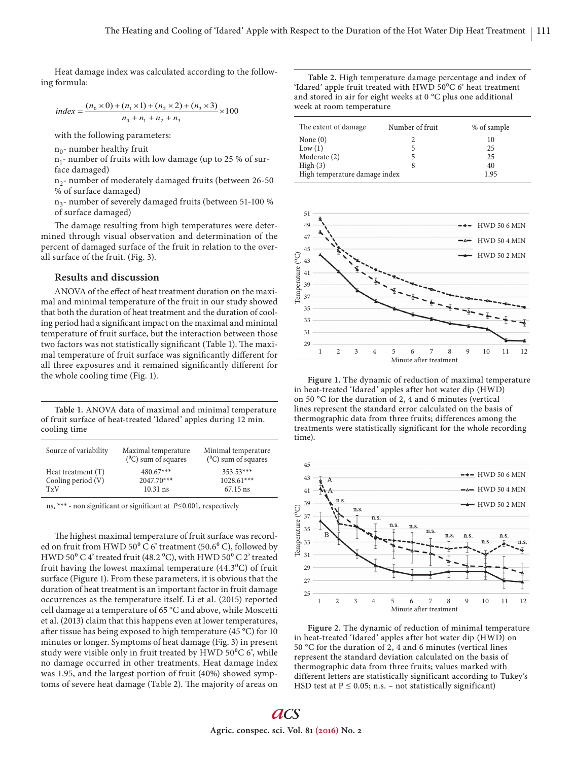Heat damage index was calculated according to the following formula:

index = 
$$
\frac{(n_0 \times 0) + (n_1 \times 1) + (n_2 \times 2) + (n_3 \times 3)}{n_0 + n_1 + n_2 + n_3} \times 100
$$

with the following parameters:

 $n_0$ - number healthy fruit

 $n_1$ - number of fruits with low damage (up to 25 % of surface damaged)

 $n_2$ - number of moderately damaged fruits (between 26-50 % of surface damaged)

n3- number of severely damaged fruits (between 51-100 % of surface damaged)

The damage resulting from high temperatures were determined through visual observation and determination of the percent of damaged surface of the fruit in relation to the overall surface of the fruit. (Fig. 3).

## **Results and discussion**

ANOVA of the effect of heat treatment duration on the maximal and minimal temperature of the fruit in our study showed that both the duration of heat treatment and the duration of cooling period had a significant impact on the maximal and minimal temperature of fruit surface, but the interaction between those two factors was not statistically significant (Table 1). The maximal temperature of fruit surface was significantly different for all three exposures and it remained significantly different for the whole cooling time (Fig. 1).

**Table 1.** ANOVA data of maximal and minimal temperature of fruit surface of heat-treated 'Idared' apples during 12 min. cooling time

| Source of variability | Maximal temperature<br>$(^{0}C)$ sum of squares | Minimal temperature<br>$(^{0}C)$ sum of squares |
|-----------------------|-------------------------------------------------|-------------------------------------------------|
| Heat treatment (T)    | $480.67***$                                     | $353.53***$                                     |
| Cooling period $(V)$  | $2047.70***$                                    | $1028.61***$                                    |
| TyV                   | $10.31$ ns                                      | 67.15 ns                                        |

ns, \*\*\* - non significant or significant at P≤0.001, respectively

The highest maximal temperature of fruit surface was recorded on fruit from HWD 50 $^{\circ}$  C 6' treatment (50.6 $^{\circ}$  C), followed by HWD 50 $\mathrm{^0 C4'}$  treated fruit (48.2 $\mathrm{^0 C}$ ), with HWD 50 $\mathrm{^0 C2'}$  treated fruit having the lowest maximal temperature  $(44.3^{\circ}C)$  of fruit surface (Figure 1). From these parameters, it is obvious that the duration of heat treatment is an important factor in fruit damage occurrences as the temperature itself. Li et al. (2015) reported cell damage at a temperature of 65 °C and above, while Moscetti et al. (2013) claim that this happens even at lower temperatures, after tissue has being exposed to high temperature (45  $^{\circ}$ C) for 10 minutes or longer. Symptoms of heat damage (Fig. 3) in present study were visible only in fruit treated by HWD  $50^{\circ}$ C 6', while no damage occurred in other treatments. Heat damage index was 1.95, and the largest portion of fruit (40%) showed symptoms of severe heat damage (Table 2). The majority of areas on

**Table 2.** High temperature damage percentage and index of 'Idared' apple fruit treated with HWD  $50^{\circ}$ C 6' heat treatment and stored in air for eight weeks at 0 °C plus one additional week at room temperature

| The extent of damage          | Number of fruit | % of sample |
|-------------------------------|-----------------|-------------|
| None $(0)$                    |                 | 10          |
| Low(1)                        |                 | 25          |
| Moderate (2)                  |                 | 25          |
| High(3)                       |                 | 40          |
| High temperature damage index |                 | 1.95        |



**Figure 1.** The dynamic of reduction of maximal temperature in heat-treated 'Idared' apples after hot water dip (HWD) on 50 °C for the duration of 2, 4 and 6 minutes (vertical lines represent the standard error calculated on the basis of thermographic data from three fruits; differences among the treatments were statistically significant for the whole recording time).



**Figure 2.** The dynamic of reduction of minimal temperature in heat-treated 'Idared' apples after hot water dip (HWD) on 50 °C for the duration of 2, 4 and 6 minutes (vertical lines represent the standard deviation calculated on the basis of thermographic data from three fruits; values marked with different letters are statistically significant according to Tukey's HSD test at  $P \le 0.05$ ; n.s. – not statistically significant)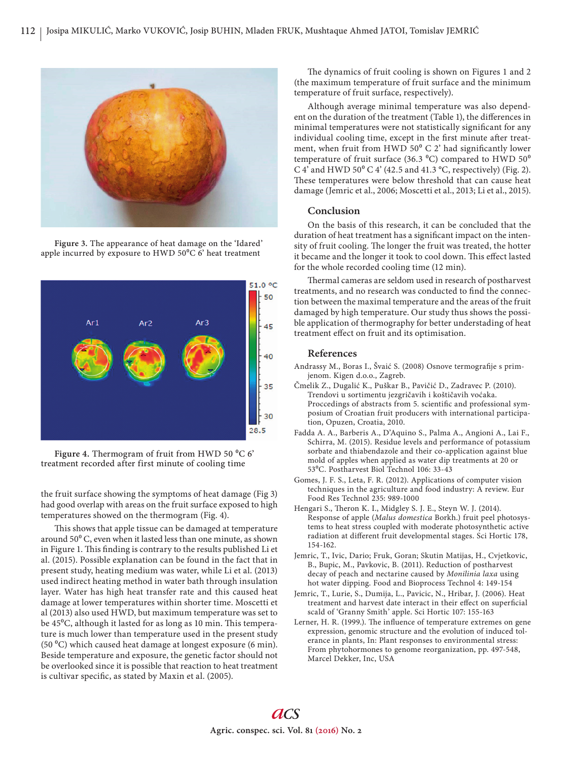

**Figure 3.** The appearance of heat damage on the 'Idared' apple incurred by exposure to HWD  $50^{\circ}$ C 6' heat treatment



**Figure 4.** Thermogram of fruit from HWD 50 $^{\circ}$ C 6' treatment recorded after first minute of cooling time

the fruit surface showing the symptoms of heat damage (Fig 3) had good overlap with areas on the fruit surface exposed to high temperatures showed on the thermogram (Fig. 4).

This shows that apple tissue can be damaged at temperature around  $50^{\circ}$  C, even when it lasted less than one minute, as shown in Figure 1. This finding is contrary to the results published Li et al. (2015). Possible explanation can be found in the fact that in present study, heating medium was water, while Li et al. (2013) used indirect heating method in water bath through insulation layer. Water has high heat transfer rate and this caused heat damage at lower temperatures within shorter time. Moscetti et al (2013) also used HWD, but maximum temperature was set to be 45<sup>o</sup>C, although it lasted for as long as 10 min. This temperature is much lower than temperature used in the present study (50  $^{\circ}$ C) which caused heat damage at longest exposure (6 min). Beside temperature and exposure, the genetic factor should not be overlooked since it is possible that reaction to heat treatment is cultivar specific, as stated by Maxin et al. (2005).

The dynamics of fruit cooling is shown on Figures 1 and 2 (the maximum temperature of fruit surface and the minimum temperature of fruit surface, respectively).

Although average minimal temperature was also dependent on the duration of the treatment (Table 1), the differences in minimal temperatures were not statistically significant for any individual cooling time, except in the first minute after treatment, when fruit from HWD  $50^{\circ}$  C 2' had significantly lower temperature of fruit surface (36.3  $^{\circ}$ C) compared to HWD 50 $^{\circ}$ C 4' and HWD 50 $\degree$  C 4' (42.5 and 41.3  $\degree$ C, respectively) (Fig. 2). These temperatures were below threshold that can cause heat damage (Jemric et al., 2006; Moscetti et al., 2013; Li et al., 2015).

## **Conclusion**

On the basis of this research, it can be concluded that the duration of heat treatment has a significant impact on the intensity of fruit cooling. The longer the fruit was treated, the hotter it became and the longer it took to cool down. This effect lasted for the whole recorded cooling time (12 min).

Thermal cameras are seldom used in research of postharvest treatments, and no research was conducted to find the connection between the maximal temperature and the areas of the fruit damaged by high temperature. Our study thus shows the possible application of thermography for better understading of heat treatment effect on fruit and its optimisation.

## **References**

- Andrassy M., Boras I., Švaić S. (2008) Osnove termografije s primjenom. Kigen d.o.o., Zagreb.
- Čmelik Z., Dugalić K., Puškar B., Pavičić D., Zadravec P. (2010). Trendovi u sortimentu jezgričavih i koštičavih voćaka. Proccedings of abstracts from 5. scientific and professional symposium of Croatian fruit producers with international participation, Opuzen, Croatia, 2010.
- Fadda A. A., Barberis A., D'Aquino S., Palma A., Angioni A., Lai F., Schirra, M. (2015). Residue levels and performance of potassium sorbate and thiabendazole and their co-application against blue mold of apples when applied as water dip treatments at 20 or 530C. Postharvest Biol Technol 106: 33-43
- Gomes, J. F. S., Leta, F. R. (2012). Applications of computer vision techniques in the agriculture and food industry: A review. Eur Food Res Technol 235: 989-1000
- Hengari S., Theron K. I., Midgley S. J. E., Steyn W. J. (2014). Response of apple (*Malus domestica* Borkh.) fruit peel photosystems to heat stress coupled with moderate photosynthetic active radiation at different fruit developmental stages. Sci Hortic 178, 154-162.
- Jemric, T., Ivic, Dario; Fruk, Goran; Skutin Matijas, H., Cvjetkovic, B., Bupic, M., Pavkovic, B. (2011). Reduction of postharvest decay of peach and nectarine caused by *Monilinia laxa* using hot water dipping. Food and Bioprocess Technol 4: 149-154
- Jemric, T., Lurie, S., Dumija, L., Pavicic, N., Hribar, J. (2006). Heat treatment and harvest date interact in their effect on superficial scald of 'Granny Smith' apple. Sci Hortic 107: 155-163
- Lerner, H. R. (1999.). The influence of temperature extremes on gene expression, genomic structure and the evolution of induced tolerance in plants, In: Plant responses to environmental stress: From phytohormones to genome reorganization, pp. 497-548, Marcel Dekker, Inc, USA